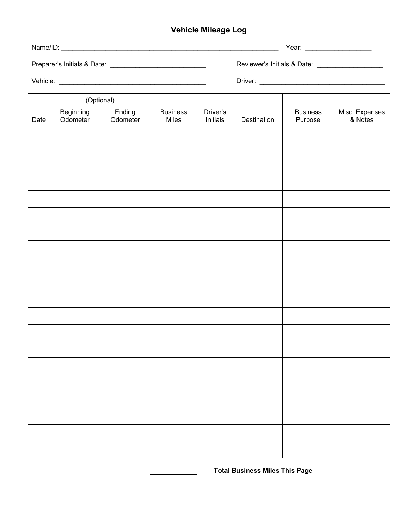## **Vehicle Mileage Log**

|      | (Optional)            |                    |                          |                      |             |                            |                           |
|------|-----------------------|--------------------|--------------------------|----------------------|-------------|----------------------------|---------------------------|
| Date | Beginning<br>Odometer | Ending<br>Odometer | <b>Business</b><br>Miles | Driver's<br>Initials | Destination | <b>Business</b><br>Purpose | Misc. Expenses<br>& Notes |
|      |                       |                    |                          |                      |             |                            |                           |
|      |                       |                    |                          |                      |             |                            |                           |
|      |                       |                    |                          |                      |             |                            |                           |
|      |                       |                    |                          |                      |             |                            |                           |
|      |                       |                    |                          |                      |             |                            |                           |
|      |                       |                    |                          |                      |             |                            |                           |
|      |                       |                    |                          |                      |             |                            |                           |
|      |                       |                    |                          |                      |             |                            |                           |
|      |                       |                    |                          |                      |             |                            |                           |
|      |                       |                    |                          |                      |             |                            |                           |
|      |                       |                    |                          |                      |             |                            |                           |
|      |                       |                    |                          |                      |             |                            |                           |
|      |                       |                    |                          |                      |             |                            |                           |
|      |                       |                    |                          |                      |             |                            |                           |
|      |                       |                    |                          |                      |             |                            |                           |
|      |                       |                    |                          |                      |             |                            |                           |
|      |                       |                    |                          |                      |             |                            |                           |
|      |                       |                    |                          |                      |             |                            |                           |
|      |                       |                    |                          |                      |             |                            |                           |
|      |                       |                    |                          |                      |             |                            |                           |
|      |                       |                    |                          |                      |             |                            |                           |

**Total Business Miles This Page**